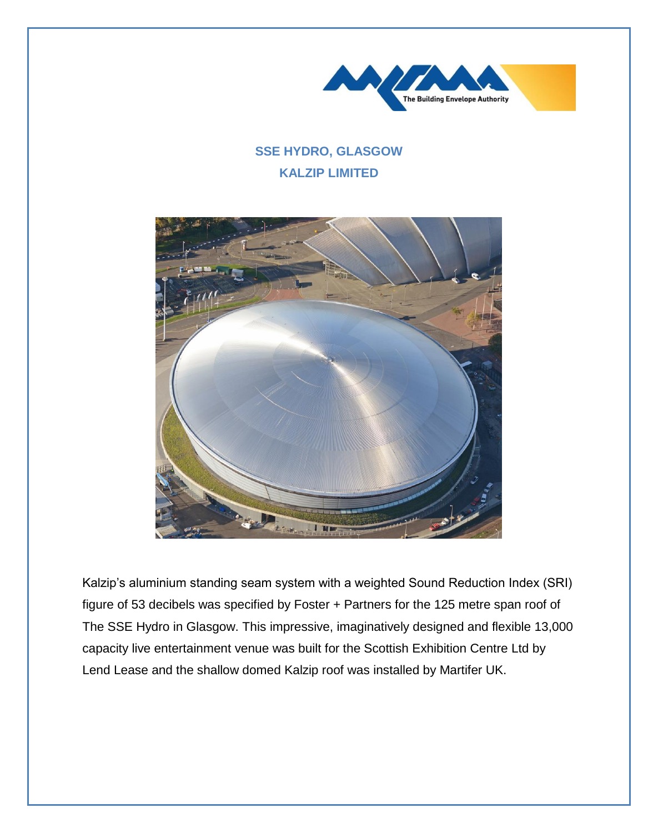

## **SSE HYDRO, GLASGOW KALZIP LIMITED**



Kalzip's aluminium standing seam system with a weighted Sound Reduction Index (SRI) figure of 53 decibels was specified by Foster + Partners for the 125 metre span roof of The SSE Hydro in Glasgow. This impressive, imaginatively designed and flexible 13,000 capacity live entertainment venue was built for the Scottish Exhibition Centre Ltd by Lend Lease and the shallow domed Kalzip roof was installed by Martifer UK.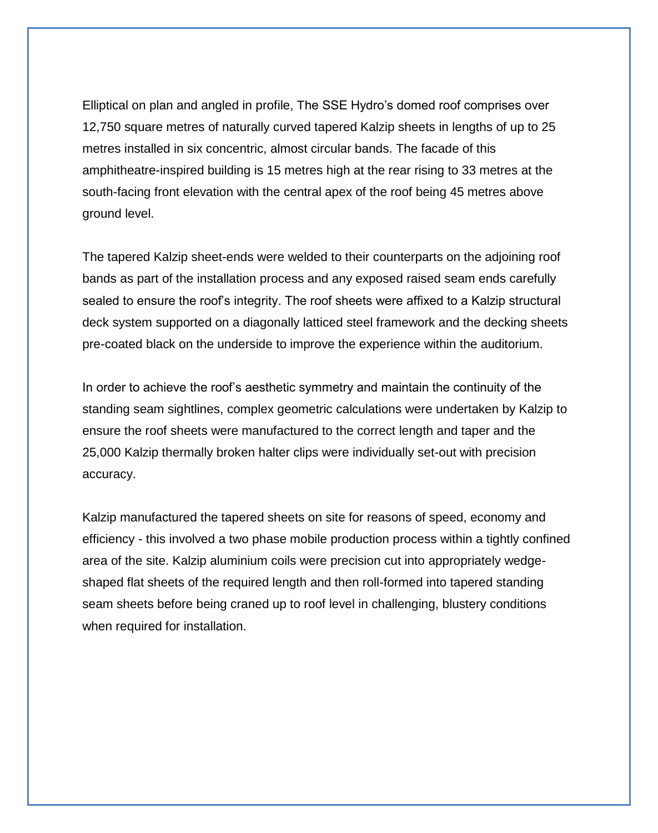Elliptical on plan and angled in profile, The SSE Hydro's domed roof comprises over 12,750 square metres of naturally curved tapered Kalzip sheets in lengths of up to 25 metres installed in six concentric, almost circular bands. The facade of this amphitheatre-inspired building is 15 metres high at the rear rising to 33 metres at the south-facing front elevation with the central apex of the roof being 45 metres above ground level.

The tapered Kalzip sheet-ends were welded to their counterparts on the adjoining roof bands as part of the installation process and any exposed raised seam ends carefully sealed to ensure the roof's integrity. The roof sheets were affixed to a Kalzip structural deck system supported on a diagonally latticed steel framework and the decking sheets pre-coated black on the underside to improve the experience within the auditorium.

In order to achieve the roof's aesthetic symmetry and maintain the continuity of the standing seam sightlines, complex geometric calculations were undertaken by Kalzip to ensure the roof sheets were manufactured to the correct length and taper and the 25,000 Kalzip thermally broken halter clips were individually set-out with precision accuracy.

Kalzip manufactured the tapered sheets on site for reasons of speed, economy and efficiency - this involved a two phase mobile production process within a tightly confined area of the site. Kalzip aluminium coils were precision cut into appropriately wedgeshaped flat sheets of the required length and then roll-formed into tapered standing seam sheets before being craned up to roof level in challenging, blustery conditions when required for installation.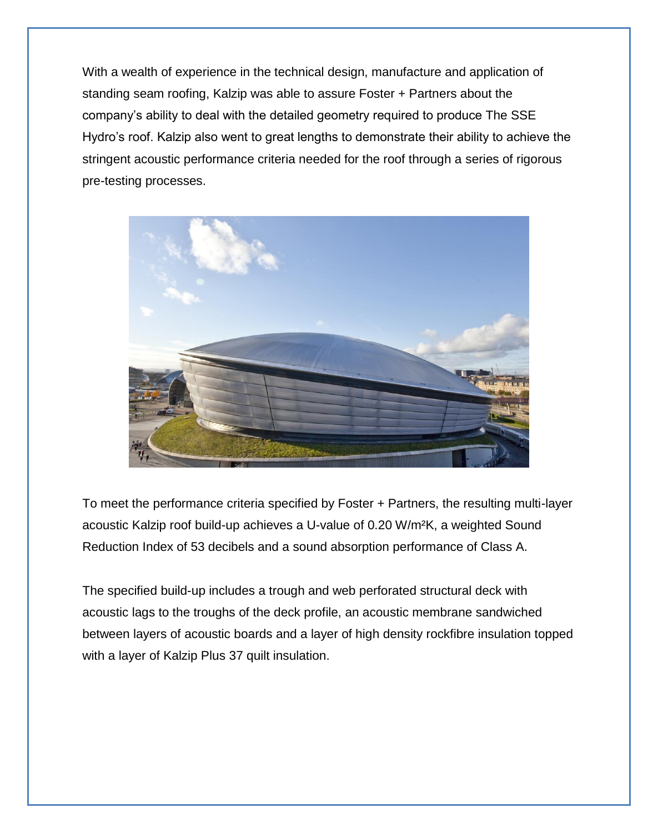With a wealth of experience in the technical design, manufacture and application of standing seam roofing, Kalzip was able to assure Foster + Partners about the company's ability to deal with the detailed geometry required to produce The SSE Hydro's roof. Kalzip also went to great lengths to demonstrate their ability to achieve the stringent acoustic performance criteria needed for the roof through a series of rigorous pre-testing processes.



To meet the performance criteria specified by Foster + Partners, the resulting multi-layer acoustic Kalzip roof build-up achieves a U-value of 0.20 W/m²K, a weighted Sound Reduction Index of 53 decibels and a sound absorption performance of Class A.

The specified build-up includes a trough and web perforated structural deck with acoustic lags to the troughs of the deck profile, an acoustic membrane sandwiched between layers of acoustic boards and a layer of high density rockfibre insulation topped with a layer of Kalzip Plus 37 quilt insulation.